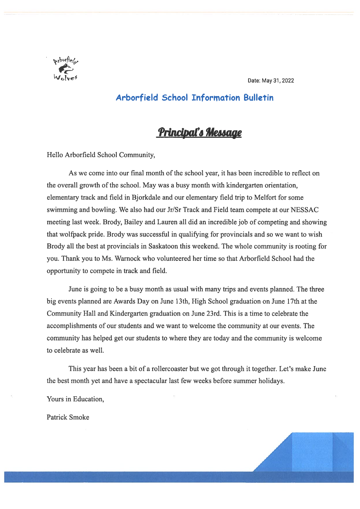

Date: May 31, 2022

## Arborfield School Information Bulletin

## Principal's Message

Hello Arborfield School Community,

As we come into our final month of the school year, it has been incredible to reflect on the overall growth of the school. May was <sup>a</sup> busy month with kindergarten orientation, elementary track and field in Bjorkdale and our elementary field trip to Melfort for some swimming and bowling. We also had our Jr/Sr Track and Field team compete at our NESSAC meeting last week. Brody, Bailey and Lauren all did an incredible job of competing and showing that wolfack pride. Brody was successful in qualifying for provincials and so we want to wish Brody all the best at provincials in Saskatoon this weekend. The whole community is rooting for you. Thank you to Ms. Warnock who volunteered her time so that Arborfield School had the opportunity to compete in track and field.

June is going to be <sup>a</sup> busy month as usual with many trips and events planned. The three big events planned are Awards Day on June 13th, High School graduation on June 17th at the Community Hall and Kindergarten graduation on June 23rd. This is <sup>a</sup> time to celebrate the accomplishments of our students and we want to welcome the community at our events. The community has helped ge<sup>t</sup> our students to where they are today and the community is welcome to celebrate as well.

This year has been <sup>a</sup> bit of <sup>a</sup> rollercoaster but we go<sup>t</sup> through it together. Let's make June the best month ye<sup>t</sup> and have <sup>a</sup> spectacular last few weeks before summer holidays.

Yours in Education,

Patrick Smoke

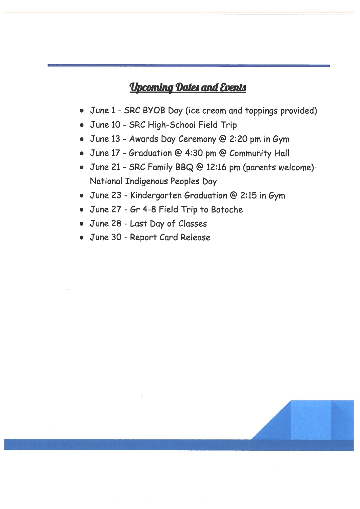## **Upcoming Dates and Events**

- June 1 -SRC BYOB bay (ice cream and toppings provided)
- June 10 SRC High-School Field Trip
- June 13 -Awards bay Ceremony @ 2:20 pm in Gym
- $\bullet~$  June 17 Graduation @ 4:30 pm @ Community Hall
- June 21 -SRC Family BBQ @ 12:16 pm (parents welcome)- National Indigenous Peoples bay
- $\bullet~$  June 23 Kindergarten Graduation @ 2:15 in Gym
- June 27 -Gr 4-8 Field Trip to Batoche
- June 28 -Last bay of Classes
- June 30 -Report Card Release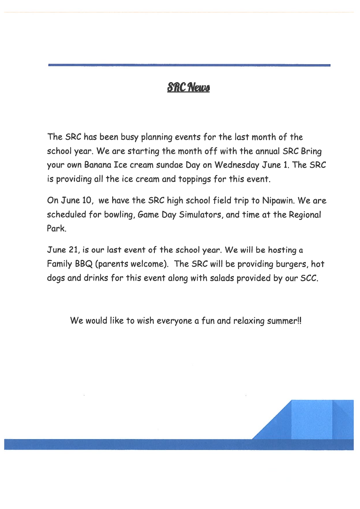## **SRC News**

The SRC has been busy planning events for the last month of the school year. We are starting the month off with the annual SRC Bring your own Banana Ice cream sundae bay on Wednesday June 1. The SRC is providing all the ice cream and toppings for this event.

On June 10, we have the SRC high school field trip to Nipawin. We are scheduled for bowling, Game bay Simulators, and time at the Regional Park.

June 21, is our last event of the school year. We will be hosting <sup>a</sup> Family BBQ (parents welcome). The SRC will be providing burgers, hot dogs and drinks for this event along with salads provided by our 5CC.

We would like to wish everyone a fun and relaxing summer!!